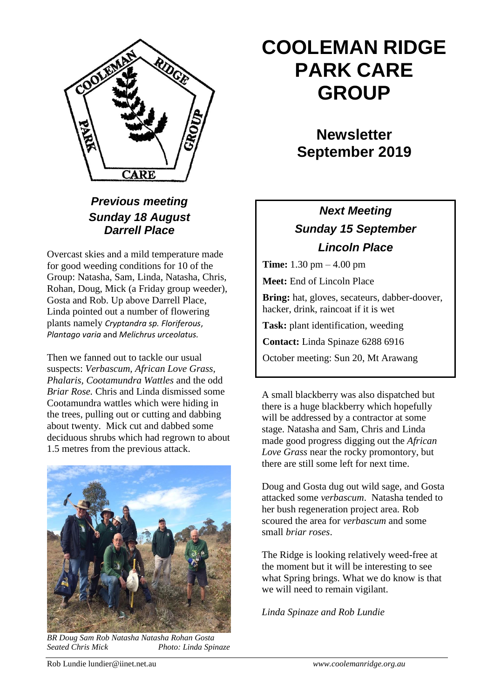

### *Previous meeting Sunday 18 August Darrell Place*

Overcast skies and a mild temperature made for good weeding conditions for 10 of the Group: Natasha, Sam, Linda, Natasha, Chris, Rohan, Doug, Mick (a Friday group weeder), Gosta and Rob. Up above Darrell Place, Linda pointed out a number of flowering plants namely *Cryptandra sp. Floriferous*, *Plantago varia* and *Melichrus urceolatus.*

Then we fanned out to tackle our usual suspects: *Verbascum, African Love Grass, Phalaris, Cootamundra Wattles* and the odd *Briar Rose.* Chris and Linda dismissed some Cootamundra wattles which were hiding in the trees, pulling out or cutting and dabbing about twenty. Mick cut and dabbed some deciduous shrubs which had regrown to about 1.5 metres from the previous attack.



*BR Doug Sam Rob Natasha Natasha Rohan Gosta Seated Chris Mick Photo: Linda Spinaze*

# **COOLEMAN RIDGE PARK CARE GROUP**

# **Newsletter September 2019**

## *Next Meeting Sunday 15 September Lincoln Place*

**Time:** 1.30 pm – 4.00 pm

**Meet:** End of Lincoln Place

**Bring:** hat, gloves, secateurs, dabber-doover, hacker, drink, raincoat if it is wet

**Task:** plant identification, weeding

**Contact:** Linda Spinaze 6288 6916

October meeting: Sun 20, Mt Arawang

A small blackberry was also dispatched but there is a huge blackberry which hopefully will be addressed by a contractor at some stage. Natasha and Sam, Chris and Linda made good progress digging out the *African Love Grass* near the rocky promontory, but there are still some left for next time.

Doug and Gosta dug out wild sage, and Gosta attacked some *verbascum*. Natasha tended to her bush regeneration project area. Rob scoured the area for *verbascum* and some small *briar roses*.

The Ridge is looking relatively weed-free at the moment but it will be interesting to see what Spring brings. What we do know is that we will need to remain vigilant.

*Linda Spinaze and Rob Lundie*

Rob Lundie lundier@iinet.net.au *www.coolemanridge.org.au*